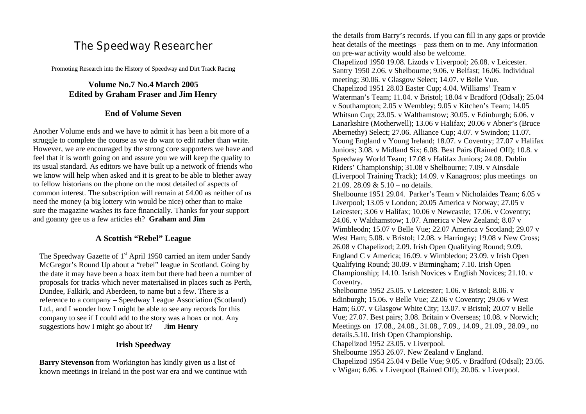# The Speedway Researcher

Promoting Research into the History of Speedway and Dirt Track Racing

# **Volume No.7 No.4 March 2005 Edited by Graham Fraser and Jim Henry**

## **End of Volume Seven**

Another Volume ends and we have to admit it has been a bit more of a struggle to complete the course as we do want to edit rather than write. However, we are encouraged by the strong core supporters we have and feel that it is worth going on and assure you we will keep the quality to its usual standard. As editors we have built up a network of friends who we know will help when asked and it is great to be able to blether away to fellow historians on the phone on the most detailed of aspects of common interest. The subscription will remain at £4.00 as neither of us need the money (a big lottery win would be nice) other than to make sure the magazine washes its face financially. Thanks for your support and goanny gee us a few articles eh? **Graham and Jim**

## **A Scottish "Rebel" League**

The Speedway Gazette of 1<sup>st</sup> April 1950 carried an item under Sandy McGregor's Round Up about a "rebel" league in Scotland. Going by the date it may have been a hoax item but there had been a number of proposals for tracks which never materialised in places such as Perth, Dundee, Falkirk, and Aberdeen, to name but a few. There is a reference to a company – Speedway League Association (Scotland) Ltd., and I wonder how I might be able to see any records for this company to see if I could add to the story was a hoax or not. Any suggestions how I might go about it? J**im Henry**

# **Irish Speedway**

**Barry Stevenson** from Workington has kindly given us a list of known meetings in Ireland in the post war era and we continue with the details from Barry's records. If you can fill in any gaps or provide heat details of the meetings – pass them on to me. Any information on pre-war activity would also be welcome. Chapelizod 1950 19.08. Lizods v Liverpool; 26.08. v Leicester. Santry 1950 2.06. v Shelbourne; 9.06. v Belfast; 16.06. Individual meeting; 30.06. v Glasgow Select; 14.07. v Belle Vue. Chapelizod 1951 28.03 Easter Cup; 4.04. Williams' Team v Waterman's Team; 11.04. v Bristol; 18.04 v Bradford (Odsal); 25.04 v Southampton; 2.05 v Wembley; 9.05 v Kitchen's Team; 14.05 Whitsun Cup; 23.05. v Walthamstow; 30.05. v Edinburgh; 6.06. v Lanarkshire (Motherwell); 13.06 v Halifax; 20.06 v Abner's (Bruce Abernethy) Select; 27.06. Alliance Cup; 4.07. v Swindon; 11.07. Young England v Young Ireland; 18.07. v Coventry; 27.07 v Halifax Juniors; 3.08. v Midland Six; 6.08. Best Pairs (Rained Off); 10.8. v Speedway World Team; 17.08 v Halifax Juniors; 24.08. Dublin Riders' Championship; 31.08 v Shelbourne; 7.09. v Ainsdale (Liverpool Training Track); 14.09. v Kanagroos; plus meetings on 21.09. 28.09 & 5.10 – no details. Shelbourne 1951 29.04. Parker's Team v Nicholaides Team; 6.05 v Liverpool; 13.05 v London; 20.05 America v Norway; 27.05 v Leicester; 3.06 v Halifax; 10.06 v Newcastle; 17.06. v Coventry; 24.06. v Walthamstow; 1.07. America v New Zealand; 8.07 v Wimbleodn; 15.07 v Belle Vue; 22.07 America v Scotland; 29.07 v West Ham; 5.08. v Bristol; 12.08. v Harringay; 19.08 v New Cross; 26.08 v Chapelizod; 2.09. Irish Open Qualifying Round; 9.09. England C v America; 16.09. v Wimbledon; 23.09. v Irish Open Qualifying Round; 30.09. v Birmingham; 7.10. Irish Open Championship; 14.10. Isrish Novices v English Novices; 21.10. v Coventry. Shelbourne 1952 25.05. v Leicester; 1.06. v Bristol; 8.06. v Edinburgh; 15.06. v Belle Vue; 22.06 v Coventry; 29.06 v West Ham; 6.07. v Glasgow White City; 13.07. v Bristol; 20.07 v Belle Vue; 27.07. Best pairs; 3.08. Britain v Overseas; 10.08. v Norwich; Meetings on 17.08., 24.08., 31.08., 7.09., 14.09., 21.09., 28.09., no details.5.10. Irish Open Championship. Chapelizod 1952 23.05. v Liverpool. Shelbourne 1953 26.07. New Zealand v England. Chapelizod 1954 25.04 v Belle Vue; 9.05. v Bradford (Odsal); 23.05. v Wigan; 6.06. v Liverpool (Rained Off); 20.06. v Liverpool.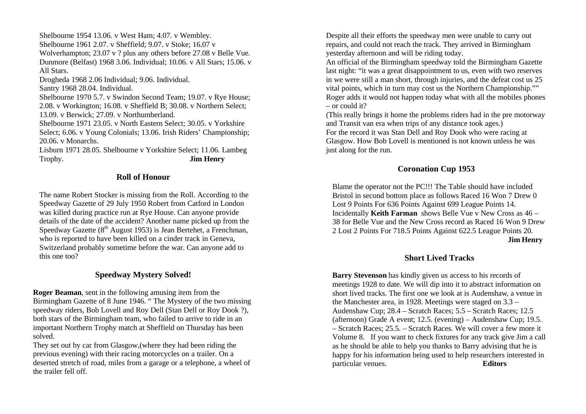Shelbourne 1954 13.06. v West Ham; 4.07. v Wembley. Shelbourne 1961 2.07. v Sheffield; 9.07. v Stoke; 16.07 v Wolverhampton; 23.07 v ? plus any others before 27.08 v Belle Vue. Dunmore (Belfast) 1968 3.06. Individual; 10.06. v All Stars; 15.06. v All Stars. Drogheda 1968 2.06 Individual; 9.06. Individual. Santry 1968 28.04. Individual. Shelbourne 1970 5.7. v Swindon Second Team; 19.07. v Rye House;

2.08. v Workington; 16.08. v Sheffield B; 30.08. v Northern Select; 13.09. v Berwick; 27.09. v Northumberland.

Shelbourne 1971 23.05. v North Eastern Select; 30.05. v Yorkshire Select; 6.06. v Young Colonials; 13.06. Irish Riders' Championship; 20.06. v Monarchs.

Lisburn 1971 28.05. Shelbourne v Yorkshire Select; 11.06. Lambeg Trophy. **Jim Henry**

## **Roll of Honour**

The name Robert Stocker is missing from the Roll. According to the Speedway Gazette of 29 July 1950 Robert from Catford in London was killed during practice run at Rye House. Can anyone provide details of the date of the accident? Another name picked up from the Speedway Gazette  $(8<sup>th</sup>$  August 1953) is Jean Bertehet, a Frenchman, who is reported to have been killed on a cinder track in Geneva, Switzerland probably sometime before the war. Can anyone add to this one too?

## **Speedway Mystery Solved!**

**Roger Beaman**, sent in the following amusing item from the Birmingham Gazette of 8 June 1946. " The Mystery of the two missing speedway riders, Bob Lovell and Roy Dell (Stan Dell or Roy Dook ?), both stars of the Birmingham team, who failed to arrive to ride in an important Northern Trophy match at Sheffield on Thursday has been solved.

They set out by car from Glasgow,(where they had been riding the previous evening) with their racing motorcycles on a trailer. On a deserted stretch of road, miles from a garage or a telephone, a wheel of the trailer fell off.

Despite all their efforts the speedway men were unable to carry out repairs, and could not reach the track. They arrived in Birmingham yesterday afternoon and will be riding today.

An official of the Birmingham speedway told the Birmingham Gazette last night: "it was a great disappointment to us, even with two reserves in we were still a man short, through injuries, and the defeat cost us 25 vital points, which in turn may cost us the Northern Championship."" Roger adds it would not happen today what with all the mobiles phones – or could it?

(This really brings it home the problems riders had in the pre motorway and Transit van era when trips of any distance took ages.) For the record it was Stan Dell and Roy Dook who were racing at Glasgow. How Bob Lovell is mentioned is not known unless he was just along for the run.

# **Coronation Cup 1953**

Blame the operator not the PC!!! The Table should have included Bristol in second bottom place as follows Raced 16 Won 7 Drew 0 Lost 9 Points For 636 Points Against 699 League Points 14. Incidentally **Keith Farman** shows Belle Vue v New Cross as 46 – 38 for Belle Vue and the New Cross record as Raced 16 Won 9 Drew 2 Lost 2 Points For 718.5 Points Against 622.5 League Points 20.

#### **Jim Henry**

# **Short Lived Tracks**

**Barry Stevenson** has kindly given us access to his records of meetings 1928 to date. We will dip into it to abstract information on short lived tracks. The first one we look at is Audenshaw, a venue in the Manchester area, in 1928. Meetings were staged on 3.3 – Audenshaw Cup; 28.4 – Scratch Races; 5.5 – Scratch Races; 12.5 (afternoon) Grade A event; 12.5. (evening) – Audenshaw Cup; 19.5. – Scratch Races; 25.5. – Scratch Races. We will cover a few more it Volume 8. If you want to check fixtures for any track give Jim a call as he should be able to help you thanks to Barry advising that he is happy for his information being used to help researchers interested in particular venues. **Editors**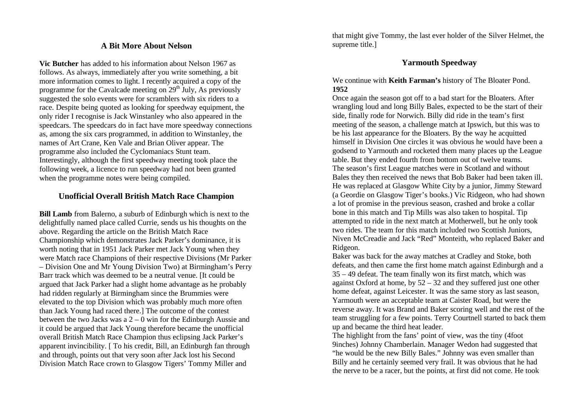## **A Bit More About Nelson**

**Vic Butcher** has added to his information about Nelson 1967 as follows. As always, immediately after you write something, a bit more information comes to light. I recently acquired a copy of the programme for the Cavalcade meeting on  $29<sup>th</sup>$  July, As previously suggested the solo events were for scramblers with six riders to a race. Despite being quoted as looking for speedway equipment, the only rider I recognise is Jack Winstanley who also appeared in the speedcars. The speedcars do in fact have more speedway connections as, among the six cars programmed, in addition to Winstanley, the names of Art Crane, Ken Vale and Brian Oliver appear. The programme also included the Cyclomaniacs Stunt team. Interestingly, although the first speedway meeting took place the following week, a licence to run speedway had not been granted when the programme notes were being compiled.

## **Unofficial Overall British Match Race Champion**

**Bill Lamb** from Balerno, a suburb of Edinburgh which is next to the delightfully named place called Currie, sends us his thoughts on the above. Regarding the article on the British Match Race Championship which demonstrates Jack Parker's dominance, it is worth noting that in 1951 Jack Parker met Jack Young when they were Match race Champions of their respective Divisions (Mr Parker – Division One and Mr Young Division Two) at Birmingham's Perry Barr track which was deemed to be a neutral venue. [It could be argued that Jack Parker had a slight home advantage as he probably had ridden regularly at Birmingham since the Brummies were elevated to the top Division which was probably much more often than Jack Young had raced there.] The outcome of the contest between the two Jacks was a 2 – 0 win for the Edinburgh Aussie and it could be argued that Jack Young therefore became the unofficial overall British Match Race Champion thus eclipsing Jack Parker's apparent invincibility. [ To his credit, Bill, an Edinburgh fan through and through, points out that very soon after Jack lost his Second Division Match Race crown to Glasgow Tigers' Tommy Miller and

that might give Tommy, the last ever holder of the Silver Helmet, the supreme title.]

# **Yarmouth Speedway**

We continue with **Keith Farman's** history of The Bloater Pond. **1952**

Once again the season got off to a bad start for the Bloaters. After wrangling loud and long Billy Bales, expected to be the start of their side, finally rode for Norwich. Billy did ride in the team's first meeting of the season, a challenge match at Ipswich, but this was to be his last appearance for the Bloaters. By the way he acquitted himself in Division One circles it was obvious he would have been a godsend to Yarmouth and rocketed them many places up the League table. But they ended fourth from bottom out of twelve teams. The season's first League matches were in Scotland and without Bales they then received the news that Bob Baker had been taken ill. He was replaced at Glasgow White City by a junior, Jimmy Steward (a Geordie on Glasgow Tiger's books.) Vic Ridgeon, who had shown a lot of promise in the previous season, crashed and broke a collar bone in this match and Tip Mills was also taken to hospital. Tip attempted to ride in the next match at Motherwell, but he only took two rides. The team for this match included two Scottish Juniors, Niven McCreadie and Jack "Red" Monteith, who replaced Baker and Ridgeon.

Baker was back for the away matches at Cradley and Stoke, both defeats, and then came the first home match against Edinburgh and a 35 – 49 defeat. The team finally won its first match, which was against Oxford at home, by 52 – 32 and they suffered just one other home defeat, against Leicester. It was the same story as last season, Yarmouth were an acceptable team at Caister Road, but were the reverse away. It was Brand and Baker scoring well and the rest of the team struggling for a few points. Terry Courtnell started to back them up and became the third heat leader.

The highlight from the fans' point of view, was the tiny (4foot 9inches) Johnny Chamberlain. Manager Wedon had suggested that "he would be the new Billy Bales." Johnny was even smaller than Billy and he certainly seemed very frail. It was obvious that he had the nerve to be a racer, but the points, at first did not come. He took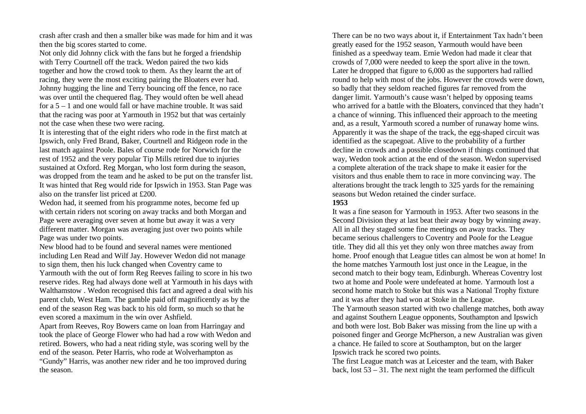crash after crash and then a smaller bike was made for him and it was then the big scores started to come.

Not only did Johnny click with the fans but he forged a friendship with Terry Courtnell off the track. Wedon paired the two kids together and how the crowd took to them. As they learnt the art of racing, they were the most exciting pairing the Bloaters ever had. Johnny hugging the line and Terry bouncing off the fence, no race was over until the chequered flag. They would often be well ahead for a 5 – 1 and one would fall or have machine trouble. It was said that the racing was poor at Yarmouth in 1952 but that was certainly not the case when these two were racing.

It is interesting that of the eight riders who rode in the first match at Ipswich, only Fred Brand, Baker, Courtnell and Ridgeon rode in the last match against Poole. Bales of course rode for Norwich for the rest of 1952 and the very popular Tip Mills retired due to injuries sustained at Oxford. Reg Morgan, who lost form during the season, was dropped from the team and he asked to be put on the transfer list. It was hinted that Reg would ride for Ipswich in 1953. Stan Page was also on the transfer list priced at £200.

Wedon had, it seemed from his programme notes, become fed up with certain riders not scoring on away tracks and both Morgan and Page were averaging over seven at home but away it was a very different matter. Morgan was averaging just over two points while Page was under two points.

New blood had to be found and several names were mentioned including Len Read and Wilf Jay. However Wedon did not manage to sign them, then his luck changed when Coventry came to

Yarmouth with the out of form Reg Reeves failing to score in his two reserve rides. Reg had always done well at Yarmouth in his days with Walthamstow . Wedon recognised this fact and agreed a deal with his parent club, West Ham. The gamble paid off magnificently as by the end of the season Reg was back to his old form, so much so that he even scored a maximum in the win over Ashfield.

Apart from Reeves, Roy Bowers came on loan from Harringay and took the place of George Flower who had had a row with Wedon and retired. Bowers, who had a neat riding style, was scoring well by the end of the season. Peter Harris, who rode at Wolverhampton as "Gundy" Harris, was another new rider and he too improved during the season.

There can be no two ways about it, if Entertainment Tax hadn't been greatly eased for the 1952 season, Yarmouth would have been finished as a speedway team. Ernie Wedon had made it clear that crowds of 7,000 were needed to keep the sport alive in the town. Later he dropped that figure to 6,000 as the supporters had rallied round to help with most of the jobs. However the crowds were down, so badly that they seldom reached figures far removed from the danger limit. Yarmouth's cause wasn't helped by opposing teams who arrived for a battle with the Bloaters, convinced that they hadn't a chance of winning. This influenced their approach to the meeting and, as a result, Yarmouth scored a number of runaway home wins. Apparently it was the shape of the track, the egg-shaped circuit was identified as the scapegoat. Alive to the probability of a further decline in crowds and a possible closedown if things continued that way, Wedon took action at the end of the season. Wedon supervised a complete alteration of the track shape to make it easier for the visitors and thus enable them to race in more convincing way. The alterations brought the track length to 325 yards for the remaining seasons but Wedon retained the cinder surface.

#### **1953**

It was a fine season for Yarmouth in 1953. After two seasons in the Second Division they at last beat their away bogy by winning away. All in all they staged some fine meetings on away tracks. They became serious challengers to Coventry and Poole for the League title. They did all this yet they only won three matches away from home. Proof enough that League titles can almost be won at home! In the home matches Yarmouth lost just once in the League, in the second match to their bogy team, Edinburgh. Whereas Coventry lost two at home and Poole were undefeated at home. Yarmouth lost a second home match to Stoke but this was a National Trophy fixture and it was after they had won at Stoke in the League.

The Yarmouth season started with two challenge matches, both away and against Southern League opponents, Southampton and Ipswich and both were lost. Bob Baker was missing from the line up with a poisoned finger and George McPherson, a new Australian was given a chance. He failed to score at Southampton, but on the larger Ipswich track he scored two points.

The first League match was at Leicester and the team, with Baker back, lost 53 – 31. The next night the team performed the difficult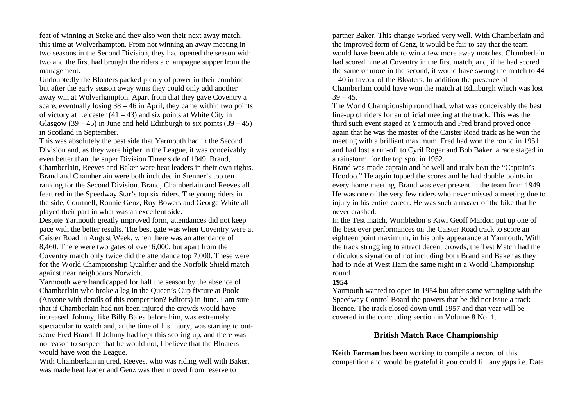feat of winning at Stoke and they also won their next away match, this time at Wolverhampton. From not winning an away meeting in two seasons in the Second Division, they had opened the season with two and the first had brought the riders a champagne supper from the management.

Undoubtedly the Bloaters packed plenty of power in their combine but after the early season away wins they could only add another away win at Wolverhampton. Apart from that they gave Coventry a scare, eventually losing  $38 - 46$  in April, they came within two points of victory at Leicester  $(41 – 43)$  and six points at White City in Glasgow  $(39 - 45)$  in June and held Edinburgh to six points  $(39 - 45)$ in Scotland in September.

This was absolutely the best side that Yarmouth had in the Second Division and, as they were higher in the League, it was conceivably even better than the super Division Three side of 1949. Brand, Chamberlain, Reeves and Baker were heat leaders in their own rights. Brand and Chamberlain were both included in Stenner's top ten ranking for the Second Division. Brand, Chamberlain and Reeves all featured in the Speedway Star's top six riders. The young riders in the side, Courtnell, Ronnie Genz, Roy Bowers and George White all played their part in what was an excellent side.

Despite Yarmouth greatly improved form, attendances did not keep pace with the better results. The best gate was when Coventry were at Caister Road in August Week, when there was an attendance of 8,460. There were two gates of over 6,000, but apart from the Coventry match only twice did the attendance top 7,000. These were for the World Championship Qualifier and the Norfolk Shield match against near neighbours Norwich.

Yarmouth were handicapped for half the season by the absence of Chamberlain who broke a leg in the Queen's Cup fixture at Poole (Anyone with details of this competition? Editors) in June. I am sure that if Chamberlain had not been injured the crowds would have increased. Johnny, like Billy Bales before him, was extremely spectacular to watch and, at the time of his injury, was starting to outscore Fred Brand. If Johnny had kept this scoring up, and there was no reason to suspect that he would not, I believe that the Bloaters would have won the League.

With Chamberlain injured, Reeves, who was riding well with Baker, was made heat leader and Genz was then moved from reserve to

partner Baker. This change worked very well. With Chamberlain and the improved form of Genz, it would be fair to say that the team would have been able to win a few more away matches. Chamberlain had scored nine at Coventry in the first match, and, if he had scored the same or more in the second, it would have swung the match to 44 – 40 in favour of the Bloaters. In addition the presence of Chamberlain could have won the match at Edinburgh which was lost  $39 - 45$ .

The World Championship round had, what was conceivably the best line-up of riders for an official meeting at the track. This was the third such event staged at Yarmouth and Fred brand proved once again that he was the master of the Caister Road track as he won the meeting with a brilliant maximum. Fred had won the round in 1951 and had lost a run-off to Cyril Roger and Bob Baker, a race staged in a rainstorm, for the top spot in 1952.

Brand was made captain and he well and truly beat the "Captain's Hoodoo." He again topped the scores and he had double points in every home meeting. Brand was ever present in the team from 1949. He was one of the very few riders who never missed a meeting due to injury in his entire career. He was such a master of the bike that he never crashed.

In the Test match, Wimbledon's Kiwi Geoff Mardon put up one of the best ever performances on the Caister Road track to score an eighteen point maximum, in his only appearance at Yarmouth. With the track struggling to attract decent crowds, the Test Match had the ridiculous siyuation of not including both Brand and Baker as they had to ride at West Ham the same night in a World Championship round.

#### **1954**

Yarmouth wanted to open in 1954 but after some wrangling with the Speedway Control Board the powers that be did not issue a track licence. The track closed down until 1957 and that year will be covered in the concluding section in Volume 8 No. 1.

## **British Match Race Championship**

**Keith Farman** has been working to compile a record of this competition and would be grateful if you could fill any gaps i.e. Date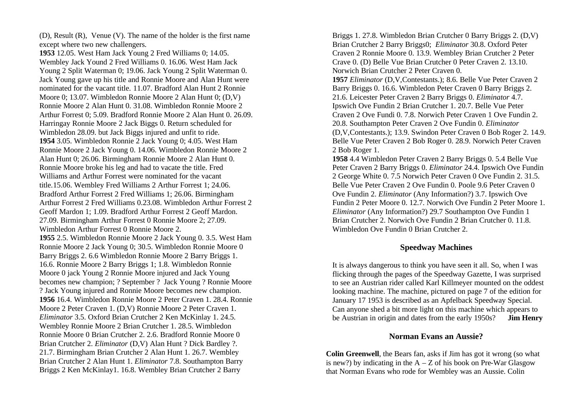(D), Result (R), Venue (V). The name of the holder is the first name except where two new challengers.

**1953** 12.05. West Ham Jack Young 2 Fred Williams 0; 14.05. Wembley Jack Yound 2 Fred Williams 0. 16.06. West Ham Jack Young 2 Split Waterman 0; 19.06. Jack Young 2 Split Waterman 0. Jack Young gave up his title and Ronnie Moore and Alan Hunt were nominated for the vacant title. 11.07. Bradford Alan Hunt 2 Ronnie Moore 0; 13.07. Wimbledon Ronnie Moore 2 Alan Hunt 0; (D,V) Ronnie Moore 2 Alan Hunt 0. 31.08. Wimbledon Ronnie Moore 2 Arthur Forrest 0; 5.09. Bradford Ronnie Moore 2 Alan Hunt 0. 26.09. Harringay Ronnie Moore 2 Jack Biggs 0. Return scheduled for Wimbledon 28.09. but Jack Biggs injured and unfit to ride. **1954** 3.05. Wimbledon Ronnie 2 Jack Young 0; 4.05. West Ham Ronnie Moore 2 Jack Young 0. 14.06. Wimbledon Ronnie Moore 2 Alan Hunt 0; 26.06. Birmingham Ronnie Moore 2 Alan Hunt 0. Ronnie Moore broke his leg and had to vacate the title. Fred Williams and Arthur Forrest were nominated for the vacant title.15.06. Wembley Fred Williams 2 Arthur Forrest 1; 24.06. Bradford Arthur Forrest 2 Fred Williams 1; 26.06. Birmingham Arthur Forrest 2 Fred Williams 0.23.08. Wimbledon Arthur Forrest 2 Geoff Mardon 1; 1.09. Bradford Arthur Forrest 2 Geoff Mardon. 27.09. Birmingham Arthur Forrest 0 Ronnie Moore 2; 27.09. Wimbledon Arthur Forrest 0 Ronnie Moore 2. **1955** 2.5. Wimbledon Ronnie Moore 2 Jack Young 0. 3.5. West Ham Ronnie Moore 2 Jack Young 0; 30.5. Wimbledon Ronnie Moore 0 Barry Briggs 2. 6.6 Wimbledon Ronnie Moore 2 Barry Briggs 1. 16.6. Ronnie Moore 2 Barry Briggs 1; 1.8. Wimbledon Ronnie Moore 0 jack Young 2 Ronnie Moore injured and Jack Young becomes new champion; ? September ? Jack Young ? Ronnie Moore ? Jack Young injured and Ronnie Moore becomes new champion. **1956** 16.4. Wimbledon Ronnie Moore 2 Peter Craven 1. 28.4. Ronnie Moore 2 Peter Craven 1. (D,V) Ronnie Moore 2 Peter Craven 1. *Eliminator* 3.5. Oxford Brian Crutcher 2 Ken McKinlay 1. 24.5. Wembley Ronnie Moore 2 Brian Crutcher 1. 28.5. Wimbledon Ronnie Moore 0 Brian Crutcher 2. 2.6. Bradford Ronnie Moore 0 Brian Crutcher 2. *Eliminator* (D,V) Alan Hunt ? Dick Bardley ?. 21.7. Birmingham Brian Crutcher 2 Alan Hunt 1. 26.7. Wembley Brian Crutcher 2 Alan Hunt 1. *Eliminator* 7.8. Southampton Barry Briggs 2 Ken McKinlay1. 16.8. Wembley Brian Crutcher 2 Barry

Briggs 1. 27.8. Wimbledon Brian Crutcher 0 Barry Briggs 2. (D,V) Brian Crutcher 2 Barry Briggs0; *Eliminator* 30.8. Oxford Peter Craven 2 Ronnie Moore 0. 13.9. Wembley Brian Crutcher 2 Peter Crave 0. (D) Belle Vue Brian Crutcher 0 Peter Craven 2. 13.10. Norwich Brian Crutcher 2 Peter Craven 0. **1957** *Eliminator* (D,V,Contestants.); 8.6. Belle Vue Peter Craven 2 Barry Briggs 0. 16.6. Wimbledon Peter Craven 0 Barry Briggs 2. 21.6. Leicester Peter Craven 2 Barry Briggs 0. *Eliminator* 4.7. Ipswich Ove Fundin 2 Brian Crutcher 1. 20.7. Belle Vue Peter Craven 2 Ove Fundi 0. 7.8. Norwich Peter Craven 1 Ove Fundin 2. 20.8. Southampton Peter Craven 2 Ove Fundin 0. *Eliminator*  (D,V,Contestants.); 13.9. Swindon Peter Craven 0 Bob Roger 2. 14.9. Belle Vue Peter Craven 2 Bob Roger 0. 28.9. Norwich Peter Craven 2 Bob Roger 1.

**1958** 4.4 Wimbledon Peter Craven 2 Barry Briggs 0. 5.4 Belle Vue Peter Craven 2 Barry Briggs 0. *Eliminator* 24.4. Ipswich Ove Fundin 2 George White 0. 7.5 Norwich Peter Craven 0 Ove Fundin 2. 31.5. Belle Vue Peter Craven 2 Ove Fundin 0. Poole 9.6 Peter Craven 0 Ove Fundin 2. *Eliminator* (Any Information?) 3.7. Ipswich Ove Fundin 2 Peter Moore 0. 12.7. Norwich Ove Fundin 2 Peter Moore 1. *Eliminator* (Any Information?) 29.7 Southampton Ove Fundin 1 Brian Crutcher 2. Norwich Ove Fundin 2 Brian Crutcher 0. 11.8. Wimbledon Ove Fundin 0 Brian Crutcher 2.

## **Speedway Machines**

It is always dangerous to think you have seen it all. So, when I was flicking through the pages of the Speedway Gazette, I was surprised to see an Austrian rider called Karl Killmeyer mounted on the oddest looking machine. The machine, pictured on page 7 of the edition for January 17 1953 is described as an Apfelback Speedway Special. Can anyone shed a bit more light on this machine which appears to be Austrian in origin and dates from the early 1950s? **Jim Henry**

#### **Norman Evans an Aussie?**

**Colin Greenwell**, the Bears fan, asks if Jim has got it wrong (so what is new?) by indicating in the  $A - Z$  of his book on Pre-War Glasgow that Norman Evans who rode for Wembley was an Aussie. Colin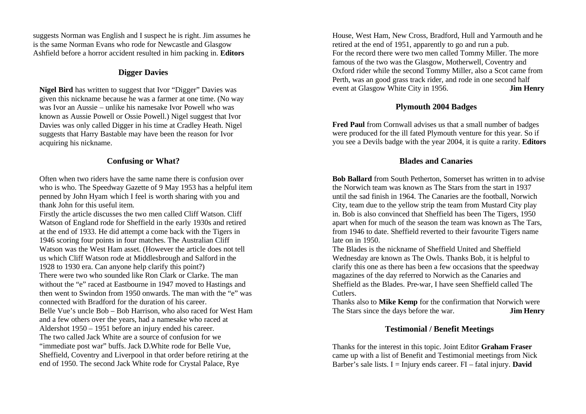suggests Norman was English and I suspect he is right. Jim assumes he is the same Norman Evans who rode for Newcastle and Glasgow Ashfield before a horror accident resulted in him packing in. **Editors**

# **Digger Davies**

**Nigel Bird** has written to suggest that Ivor "Digger" Davies was given this nickname because he was a farmer at one time. (No way was Ivor an Aussie – unlike his namesake Ivor Powell who was known as Aussie Powell or Ossie Powell.) Nigel suggest that Ivor Davies was only called Digger in his time at Cradley Heath. Nigel suggests that Harry Bastable may have been the reason for Ivor acquiring his nickname.

# **Confusing or What?**

Often when two riders have the same name there is confusion over who is who. The Speedway Gazette of 9 May 1953 has a helpful item penned by John Hyam which I feel is worth sharing with you and thank John for this useful item.

Firstly the article discusses the two men called Cliff Watson. Cliff Watson of England rode for Sheffield in the early 1930s and retired at the end of 1933. He did attempt a come back with the Tigers in 1946 scoring four points in four matches. The Australian Cliff Watson was the West Ham asset. (However the article does not tell us which Cliff Watson rode at Middlesbrough and Salford in the 1928 to 1930 era. Can anyone help clarify this point?) There were two who sounded like Ron Clark or Clarke. The man without the "e" raced at Eastbourne in 1947 moved to Hastings and then went to Swindon from 1950 onwards. The man with the "e" was connected with Bradford for the duration of his career. Belle Vue's uncle Bob – Bob Harrison, who also raced for West Ham and a few others over the years, had a namesake who raced at Aldershot 1950 – 1951 before an injury ended his career. The two called Jack White are a source of confusion for we "immediate post war" buffs. Jack D.White rode for Belle Vue, Sheffield, Coventry and Liverpool in that order before retiring at the end of 1950. The second Jack White rode for Crystal Palace, Rye

House, West Ham, New Cross, Bradford, Hull and Yarmouth and he retired at the end of 1951, apparently to go and run a pub. For the record there were two men called Tommy Miller. The more famous of the two was the Glasgow, Motherwell, Coventry and Oxford rider while the second Tommy Miller, also a Scot came from Perth, was an good grass track rider, and rode in one second half event at Glasgow White City in 1956. **Jim Henry**

# **Plymouth 2004 Badges**

**Fred Paul** from Cornwall advises us that a small number of badges were produced for the ill fated Plymouth venture for this year. So if you see a Devils badge with the year 2004, it is quite a rarity. **Editors**

# **Blades and Canaries**

**Bob Ballard** from South Petherton, Somerset has written in to advise the Norwich team was known as The Stars from the start in 1937 until the sad finish in 1964. The Canaries are the football, Norwich City, team due to the yellow strip the team from Mustard City play in. Bob is also convinced that Sheffield has been The Tigers, 1950 apart when for much of the season the team was known as The Tars, from 1946 to date. Sheffield reverted to their favourite Tigers name late on in 1950.

The Blades is the nickname of Sheffield United and Sheffield Wednesday are known as The Owls. Thanks Bob, it is helpful to clarify this one as there has been a few occasions that the speedway magazines of the day referred to Norwich as the Canaries and Sheffield as the Blades. Pre-war, I have seen Sheffield called The Cutlers.

Thanks also to **Mike Kemp** for the confirmation that Norwich were The Stars since the days before the war. **Jim Henry**

# **Testimonial / Benefit Meetings**

Thanks for the interest in this topic. Joint Editor **Graham Fraser**  came up with a list of Benefit and Testimonial meetings from Nick Barber's sale lists.  $I = Injury ends career. FI - fatal injury. David$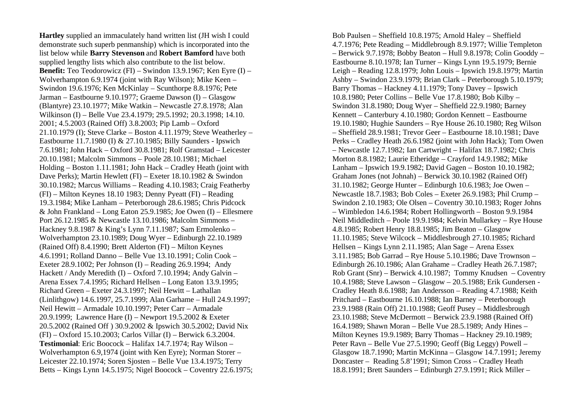**Hartley** supplied an immaculately hand written list (JH wish I could demonstrate such superb penmanship) which is incorporated into the list below while **Barry Stevenson** and **Robert Bamford** have both supplied lengthy lists which also contribute to the list below. **Benefit:** Teo Teodorowicz (FI) – Swindon 13.9.1967; Ken Eyre (I) – Wolverhampton 6.9.1974 (joint with Ray Wilson); Mike Keen – Swindon 19.6.1976; Ken McKinlay – Scunthorpe 8.8.1976; Pete Jarman – Eastbourne 9.10.1977; Graeme Dawson (I) – Glasgow (Blantyre) 23.10.1977; Mike Watkin – Newcastle 27.8.1978; Alan Wilkinson (I) – Belle Vue 23.4.1979; 29.5.1992; 20.3.1998; 14.10. 2001; 4.5.2003 (Rained Off) 3.8.2003; Pip Lamb – Oxford 21.10.1979 (I); Steve Clarke – Boston 4.11.1979; Steve Weatherley – Eastbourne 11.7.1980 (I) & 27.10.1985; Billy Saunders - Ipswich 7.6.1981; John Hack – Oxford 30.8.1981; Rolf Gramstad – Leicester 20.10.1981; Malcolm Simmons – Poole 28.10.1981; Michael Holding – Boston 1.11.1981; John Hack – Cradley Heath (joint with Dave Perks); Martin Hewlett (FI) – Exeter 18.10.1982 & Swindon 30.10.1982; Marcus Williams – Reading 4.10.1983; Craig Featherby (FI) – Milton Keynes 18.10 1983; Denny Pyeatt (FI) – Reading 19.3.1984; Mike Lanham – Peterborough 28.6.1985; Chris Pidcock & John Frankland – Long Eaton 25.9.1985; Joe Owen (I) – Ellesmere Port 26.12.1985 & Newcastle 13.10.1986; Malcolm Simmons – Hackney 9.8.1987 & King's Lynn 7.11.1987; Sam Ermolenko – Wolverhampton 23.10.1989; Doug Wyer – Edinburgh 22.10.1989 (Rained Off) 8.4.1990; Brett Alderton (FI) – Milton Keynes 4.6.1991; Rolland Danno – Belle Vue 13.10.1991; Colin Cook – Exeter 28.9.1002; Per Johnson (I) – Reading 26.9.1994; Andy Hackett / Andy Meredith (I) – Oxford 7.10.1994; Andy Galvin – Arena Essex 7.4.1995; Richard Hellsen – Long Eaton 13.9.1995; Richard Green – Exeter 24.3.1997; Neil Hewitt – Lathallan (Linlithgow) 14.6.1997, 25.7.1999; Alan Garhame – Hull 24.9.1997; Neil Hewitt – Armadale 10.10.1997; Peter Carr – Armadale 20.9.1999; Lawrence Hare (I) – Newport 19.5.2002 & Exeter 20.5.2002 (Rained Off ) 30.9.2002 & Ipswich 30.5.2002; David Nix (FI) – Oxford 15.10.2003; Carlos Villar (I) – Berwick 6.3.2004. **Testimonial**: Eric Boocock – Halifax 14.7.1974; Ray Wilson – Wolverhampton 6.9,1974 (joint with Ken Eyre); Norman Storer – Leicester 22.10.1974; Soren Sjosten – Belle Vue 13.4.1975; Terry Betts – Kings Lynn 14.5.1975; Nigel Boocock – Coventry 22.6.1975;

Bob Paulsen – Sheffield 10.8.1975; Arnold Haley – Sheffield 4.7.1976; Pete Reading – Middlebrough 8.9.1977; Willie Templeton – Berwick 9.7.1978; Bobby Beaton – Hull 9.8.1978; Colin Gooddy – Eastbourne 8.10.1978; Ian Turner – Kings Lynn 19.5.1979; Bernie Leigh – Reading 12.8.1979; John Louis – Ipswich 19.8.1979; Martin Ashby – Swindon 23.9.1979; Brian Clark – Peterborough 5.10.1979; Barry Thomas – Hackney 4.11.1979; Tony Davey – Ipswich 10.8.1980; Peter Collins – Belle Vue 17.8.1980; Bob Kilby – Swindon 31.8.1980; Doug Wyer – Sheffield 22.9.1980; Barney Kennett – Canterbury 4.10.1980; Gordon Kennett – Eastbourne 19.10.1980; Hughie Saunders – Rye House 26.10.1980; Reg Wilson – Sheffield 28.9.1981; Trevor Geer – Eastbourne 18.10.1981; Dave Perks – Cradley Heath 26.6.1982 (joint with John Hack); Tom Owen – Newcastle 12.7.1982; Ian Cartwright – Halifax 18.7.1982; Chris Morton 8.8.1982; Laurie Etheridge – Crayford 14.9.1982; Mike Lanham – Ipswich 19.9.1982; David Gagen – Boston 10.10.1982; Graham Jones (not Johnah) – Berwick 30.10.1982 (Rained Off) 31.10.1982; George Hunter – Edinburgh 10.6.1983; Joe Owen – Newcastle 18.7.1983; Bob Coles – Exeter 26.9.1983; Phil Crump – Swindon 2.10.1983; Ole Olsen – Coventry 30.10.1983; Roger Johns – Wimbledon 14.6.1984; Robert Hollingworth – Boston 9.9.1984 Neil Middleditch – Poole 19.9.1984; Kelvin Mullarkey – Rye House 4.8.1985; Robert Henry 18.8.1985; Jim Beaton – Glasgow 11.10.1985; Steve Wilcock – Middlesbrough 27.10.1985; Richard Hellsen – Kings Lynn 2.11.1985; Alan Sage – Arena Essex 3.11.1985; Bob Garrad – Rye House 5.10.1986; Dave Trownson – Edinburgh 26.10.1986; Alan Grahame – Cradley Heath 26.7.1987; Rob Grant (Snr) – Berwick 4.10.1987; Tommy Knudsen – Coventry 10.4.1988; Steve Lawson – Glasgow – 20.5.1988; Erik Gundersen - Cradley Heath 8.6.1988; Jan Andersson – Reading 4.7.1988; Keith Pritchard – Eastbourne 16.10.1988; Ian Barney – Peterborough 23.9.1988 (Rain Off) 21.10.1988; Geoff Pusey – Middlesbrough 23.10.1988; Steve McDermott – Berwick 23.9.1988 (Rained Off) 16.4.1989; Shawn Moran – Belle Vue 28.5.1989; Andy Hines – Milton Keynes 19.9.1989; Barry Thomas – Hackney 29.10.1989; Peter Ravn – Belle Vue 27.5.1990; Geoff (Big Leggy) Powell – Glasgow 18.7.1990; Martin McKinna – Glasgow 14.7.1991; Jeremy Doncaster – Reading 5.8'1991; Simon Cross – Cradley Heath 18.8.1991; Brett Saunders – Edinburgh 27.9.1991; Rick Miller –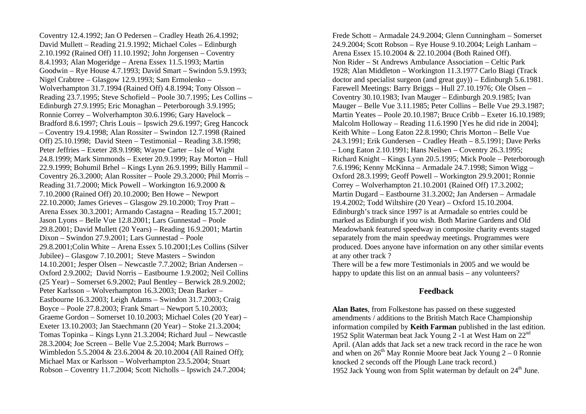Coventry 12.4.1992; Jan O Pedersen – Cradley Heath 26.4.1992; David Mullett – Reading 21.9.1992; Michael Coles – Edinburgh 2.10.1992 (Rained Off) 11.10.1992; John Jorgensen – Coventry 8.4.1993; Alan Mogeridge – Arena Essex 11.5.1993; Martin Goodwin – Rye House 4.7.1993; David Smart – Swindon 5.9.1993; Nigel Crabtree – Glasgow 12.9.1993; Sam Ermolenko – Wolverhampton 31.7.1994 (Rained Off) 4.8.1994; Tony Olsson – Reading 23.7.1995; Steve Schofield – Poole 30.7.1995; Les Collins – Edinburgh 27.9.1995; Eric Monaghan – Peterborough 3.9.1995; Ronnie Correy – Wolverhampton 30.6.1996; Gary Havelock – Bradford 8.6.1997; Chris Louis – Ipswich 29.6.1997; Greg Hancock – Coventry 19.4.1998; Alan Rossiter – Swindon 12.7.1998 (Rained Off) 25.10.1998; David Steen – Testimonial – Reading 3.8.1998; Peter Jeffries – Exeter 28.9.1998; Wayne Carter – Isle of Wight 24.8.1999; Mark Simmonds – Exeter 20.9.1999; Ray Morton – Hull 22.9.1999; Bohumil Brhel – Kings Lynn 26.9.1999; Billy Hammil – Coventry 26.3.2000; Alan Rossiter – Poole 29.3.2000; Phil Morris – Reading 31.7.2000; Mick Powell – Workington 16.9.2000 & 7.10.2000 (Rained Off) 20.10.2000; Ben Howe – Newport 22.10.2000; James Grieves – Glasgow 29.10.2000; Troy Pratt – Arena Essex 30.3.2001; Armando Castagna – Reading 15.7.2001; Jason Lyons – Belle Vue 12.8.2001; Lars Gunnestad – Poole 29.8.2001; David Mullett (20 Years) – Reading 16.9.2001; Martin Dixon – Swindon 27.9.2001; Lars Gunnestad – Poole 29.8.2001;Colin White – Arena Essex 5.10.2001;Les Collins (Silver Jubilee) – Glasgow 7.10.2001; Steve Masters – Swindon 14.10.2001; Jesper Olsen – Newcastle 7.7.2002; Brian Andersen – Oxford 2.9.2002; David Norris – Eastbourne 1.9.2002; Neil Collins (25 Year) – Somerset 6.9.2002; Paul Bentley – Berwick 28.9.2002; Peter Karlsson – Wolverhampton 16.3.2003; Dean Barker – Eastbourne 16.3.2003; Leigh Adams – Swindon 31.7.2003; Craig Boyce – Poole 27.8.2003; Frank Smart – Newport 5.10.2003; Graeme Gordon – Somerset 10.10.2003; Michael Coles (20 Year) – Exeter 13.10.2003; Jan Staechmann (20 Year) – Stoke 21.3.2004; Tomas Topinka – Kings Lynn 21.3.2004; Richard Juul – Newcastle 28.3.2004; Joe Screen – Belle Vue 2.5.2004; Mark Burrows – Wimbledon 5.5.2004 & 23.6.2004 & 20.10.2004 (All Rained Off); Michael Max or Karlsson – Wolverhampton 23.5.2004; Stuart Robson – Coventry 11.7.2004; Scott Nicholls – Ipswich 24.7.2004;

Frede Schott – Armadale 24.9.2004; Glenn Cunningham – Somerset 24.9.2004; Scott Robson – Rye House 9.10.2004; Leigh Lanham – Arena Essex 15.10.2004 & 22.10.2004 (Both Rained Off). Non Rider – St Andrews Ambulance Association – Celtic Park 1928; Alan Middleton – Workington 11.3.1977 Carlo Biagi (Track doctor and specialist surgeon (and great guy)) – Edinburgh 5.6.1981. Farewell Meetings: Barry Briggs – Hull 27.10.1976; Ole Olsen – Coventry 30.10.1983; Ivan Mauger – Edinburgh 20.9.1985; Ivan Mauger – Belle Vue 3.11.1985; Peter Collins – Belle Vue 29.3.1987; Martin Yeates – Poole 20.10.1987; Bruce Cribb – Exeter 16.10.1989; Malcolm Holloway – Reading 11.6.1990 [Yes he did ride in 2004]; Keith White – Long Eaton 22.8.1990; Chris Morton – Belle Vue 24.3.1991; Erik Gundersen – Cradley Heath – 8.5.1991; Dave Perks – Long Eaton 2.10.1991; Hans Neilsen – Coventry 26.3.1995; Richard Knight – Kings Lynn 20.5.1995; Mick Poole – Peterborough 7.6.1996; Kenny McKinna – Armadale 24.7.1998; Simon Wigg – Oxford 28.3.1999; Geoff Powell – Workington 29.9.2001; Ronnie Correy – Wolverhampton 21.10.2001 (Rained Off) 17.3.2002; Martin Dugard – Eastbourne 31.3.2002; Jan Andersen – Armadale 19.4.2002; Todd Wiltshire (20 Year) – Oxford 15.10.2004. Edinburgh's track since 1997 is at Armadale so entries could be marked as Edinburgh if you wish. Both Marine Gardens and Old Meadowbank featured speedway in composite charity events staged separately from the main speedway meetings. Programmes were produced. Does anyone have information on any other similar events at any other track ?

There will be a few more Testimonials in 2005 and we would be happy to update this list on an annual basis – any volunteers?

## **Feedback**

**Alan Bates**, from Folkestone has passed on these suggested amendments / additions to the British Match Race Championship information compiled by **Keith Farman** published in the last edition. 1952 Split Waterman beat Jack Young 2 -1 at West Ham on 22nd April. (Alan adds that Jack set a new track record in the race he won and when on  $26<sup>th</sup>$  May Ronnie Moore beat Jack Young  $2-0$  Ronnie knocked 2 seconds off the Plough Lane track record.) 1952 Jack Young won from Split waterman by default on  $24<sup>th</sup>$  June.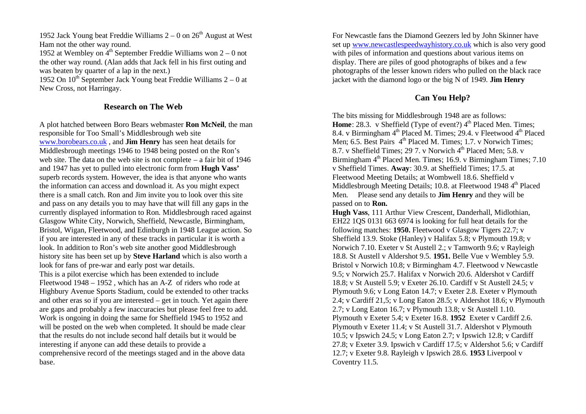1952 Jack Young beat Freddie Williams  $2 - 0$  on  $26<sup>th</sup>$  August at West Ham not the other way round.

1952 at Wembley on  $4<sup>th</sup>$  September Freddie Williams won  $2 - 0$  not the other way round. (Alan adds that Jack fell in his first outing and was beaten by quarter of a lap in the next.)

1952 On  $10^{th}$  September Jack Young beat Freddie Williams  $2 - 0$  at New Cross, not Harringay.

## **Research on The Web**

A plot hatched between Boro Bears webmaster **Ron McNeil**, the man responsible for Too Small's Middlesbrough web site www.borobears.co.uk , and **Jim Henry** has seen heat details for Middlesbrough meetings 1946 to 1948 being posted on the Ron's web site. The data on the web site is not complete – a fair bit of 1946 and 1947 has yet to pulled into electronic form from **Hugh Vass'** superb records system. However, the idea is that anyone who wants the information can access and download it. As you might expect there is a small catch. Ron and Jim invite you to look over this site and pass on any details you to may have that will fill any gaps in the currently displayed information to Ron. Middlesbrough raced against Glasgow White City, Norwich, Sheffield, Newcastle, Birmingham, Bristol, Wigan, Fleetwood, and Edinburgh in 1948 League action. So if you are interested in any of these tracks in particular it is worth a look. In addition to Ron's web site another good Middlesbrough history site has been set up by **Steve Harland** which is also worth a look for fans of pre-war and early post war details. This is a pilot exercise which has been extended to include Fleetwood 1948 – 1952 , which has an A-Z of riders who rode at Highbury Avenue Sports Stadium, could be extended to other tracks and other eras so if you are interested – get in touch. Yet again there are gaps and probably a few inaccuracies but please feel free to add. Work is ongoing in doing the same for Sheffield 1945 to 1952 and will be posted on the web when completed. It should be made clear that the results do not include second half details but it would be interesting if anyone can add these details to provide a comprehensive record of the meetings staged and in the above data base.

For Newcastle fans the Diamond Geezers led by John Skinner have set up www.newcastlespeedwayhistory.co.uk which is also very good with piles of information and questions about various items on display. There are piles of good photographs of bikes and a few photographs of the lesser known riders who pulled on the black race jacket with the diamond logo or the big N of 1949. **Jim Henry**

# **Can You Help?**

The bits missing for Middlesbrough 1948 are as follows: **Home**: 28.3. v Sheffield (Type of event?)  $4<sup>th</sup>$  Placed Men. Times: 8.4. v Birmingham 4<sup>th</sup> Placed M. Times; 29.4. v Fleetwood 4<sup>th</sup> Placed Men; 6.5. Best Pairs 4<sup>th</sup> Placed M. Times; 1.7. v Norwich Times; 8.7. v Sheffield Times; 29.7. v Norwich  $4<sup>th</sup>$  Placed Men; 5.8. v Birmingham  $4<sup>th</sup>$  Placed Men. Times; 16.9. v Birmingham Times; 7.10 v Sheffield Times. **Away**: 30.9. at Sheffield Times; 17.5. at Fleetwood Meeting Details; at Wombwell 18.6. Sheffield v Middlesbrough Meeting Details; 10.8. at Fleetwood 1948 4<sup>th</sup> Placed Men. Please send any details to **Jim Henry** and they will be passed on to **Ron.**

**Hugh Vass**, 111 Arthur View Crescent, Danderhall, Midlothian, EH22 1QS 0131 663 6974 is looking for full heat details for the following matches: **1950.** Fleetwood v Glasgow Tigers 22.7; v Sheffield 13.9. Stoke (Hanley) v Halifax 5.8; v Plymouth 19.8; v Norwich 7.10. Exeter v St Austell 2.; v Tamworth 9.6; v Rayleigh 18.8. St Austell v Aldershot 9.5. **1951.** Belle Vue v Wembley 5.9. Bristol v Norwich 10.8; v Birmingham 4.7. Fleetwood v Newcastle 9.5; v Norwich 25.7. Halifax v Norwich 20.6. Aldershot v Cardiff 18.8; v St Austell 5.9; v Exeter 26.10. Cardiff v St Austell 24.5; v Plymouth 9.6; v Long Eaton 14.7; v Exeter 2.8. Exeter v Plymouth 2.4; v Cardiff 21,5; v Long Eaton 28.5; v Aldershot 18.6; v Plymouth 2.7; v Long Eaton 16.7; v Plymouth 13.8; v St Austell 1.10. Plymouth v Exeter 5.4; v Exeter 16.8. **1952** Exeter v Cardiff 2.6. Plymouth v Exeter 11.4; v St Austell 31.7. Aldershot v Plymouth 10.5; v Ipswich 24.5; v Long Eaton 2.7; v Ipswich 12.8; v Cardiff 27.8; v Exeter 3.9. Ipswich v Cardiff 17.5; v Aldershot 5.6; v Cardiff 12.7; v Exeter 9.8. Rayleigh v Ipswich 28.6. **1953** Liverpool v Coventry 11.5.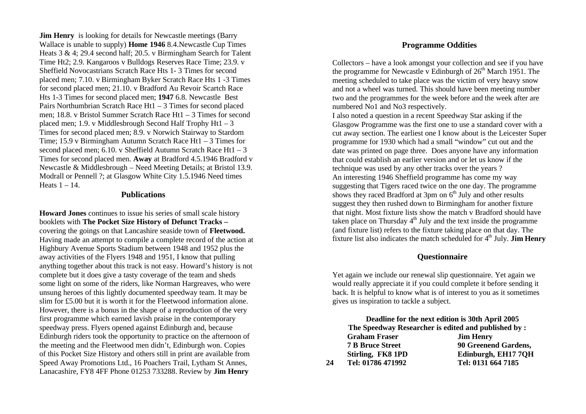**Jim Henry** is looking for details for Newcastle meetings (Barry Wallace is unable to supply) **Home 1946** 8.4.Newcastle Cup Times Heats 3 & 4; 29.4 second half; 20.5. v Birmingham Search for Talent Time Ht2; 2.9. Kangaroos v Bulldogs Reserves Race Time; 23.9. v Sheffield Novocastrians Scratch Race Hts 1- 3 Times for second placed men; 7.10. v Birmingham Byker Scratch Race Hts 1 -3 Times for second placed men; 21.10. v Bradford Au Revoir Scartch Race Hts 1-3 Times for second placed men; **1947** 6.8. Newcastle Best Pairs Northumbrian Scratch Race Ht1 – 3 Times for second placed men; 18.8. v Bristol Summer Scratch Race Ht1 – 3 Times for second placed men; 1.9. v Middlesbrough Second Half Trophy Ht1 – 3 Times for second placed men; 8.9. v Norwich Stairway to Stardom Time; 15.9 v Birmingham Autumn Scratch Race Ht1 – 3 Times for second placed men; 6.10. v Sheffield Autumn Scratch Race  $Ht1 - 3$ Times for second placed men. **Away** at Bradford 4.5.1946 Bradford v Newcastle & Middlesbrough – Need Meeting Details; at Bristol 13.9. Modrall or Pennell ?; at Glasgow White City 1.5.1946 Need times Heats  $1 - 14$ .

#### **Publications**

**Howard Jones** continues to issue his series of small scale history booklets with **The Pocket Size History of Defunct Tracks –** covering the goings on that Lancashire seaside town of **Fleetwood.**  Having made an attempt to compile a complete record of the action at Highbury Avenue Sports Stadium between 1948 and 1952 plus the away activities of the Flyers 1948 and 1951, I know that pulling anything together about this track is not easy. Howard's history is not complete but it does give a tasty coverage of the team and sheds some light on some of the riders, like Norman Hargreaves, who were unsung heroes of this lightly documented speedway team. It may be slim for £5.00 but it is worth it for the Fleetwood information alone. However, there is a bonus in the shape of a reproduction of the very first programme which earned lavish praise in the contemporary speedway press. Flyers opened against Edinburgh and, because Edinburgh riders took the opportunity to practice on the afternoon of the meeting and the Fleetwood men didn't, Edinburgh won. Copies of this Pocket Size History and others still in print are available from Speed Away Promotions Ltd., 16 Poachers Trail, Lytham St Annes, Lanacashire, FY8 4FF Phone 01253 733288. Review by **Jim Henry**

#### **Programme Oddities**

Collectors – have a look amongst your collection and see if you have the programme for Newcastle v Edinburgh of  $26<sup>th</sup>$  March 1951. The meeting scheduled to take place was the victim of very heavy snow and not a wheel was turned. This should have been meeting number two and the programmes for the week before and the week after are numbered No1 and No3 respectively.

I also noted a question in a recent Speedway Star asking if the Glasgow Programme was the first one to use a standard cover with a cut away section. The earliest one I know about is the Leicester Super programme for 1930 which had a small "window" cut out and the date was printed on page three. Does anyone have any information that could establish an earlier version and or let us know if the technique was used by any other tracks over the years ? An interesting 1946 Sheffield programme has come my way suggesting that Tigers raced twice on the one day. The programme shows they raced Bradford at  $3\text{pm}$  on  $6^{\text{th}}$  July and other results suggest they then rushed down to Birmingham for another fixture that night. Most fixture lists show the match v Bradford should have taken place on Thursday  $4<sup>th</sup>$  July and the text inside the programme (and fixture list) refers to the fixture taking place on that day. The fixture list also indicates the match scheduled for 4th July. **Jim Henry**

## **Questionnaire**

Yet again we include our renewal slip questionnaire. Yet again we would really appreciate it if you could complete it before sending it back. It is helpful to know what is of interest to you as it sometimes gives us inspiration to tackle a subject.

|    |                                                      | Deadline for the next edition is 30th April 2005 |  |  |  |  |
|----|------------------------------------------------------|--------------------------------------------------|--|--|--|--|
|    | The Speedway Researcher is edited and published by : |                                                  |  |  |  |  |
|    | <b>Graham Fraser</b>                                 | <b>Jim Henry</b>                                 |  |  |  |  |
|    | <b>7 B Bruce Street</b>                              | 90 Greenend Gardens,                             |  |  |  |  |
|    | Stirling, FK8 1PD                                    | Edinburgh, EH17 7QH                              |  |  |  |  |
| 24 | Tel: 01786 471992                                    | Tel: 0131 664 7185                               |  |  |  |  |
|    |                                                      |                                                  |  |  |  |  |